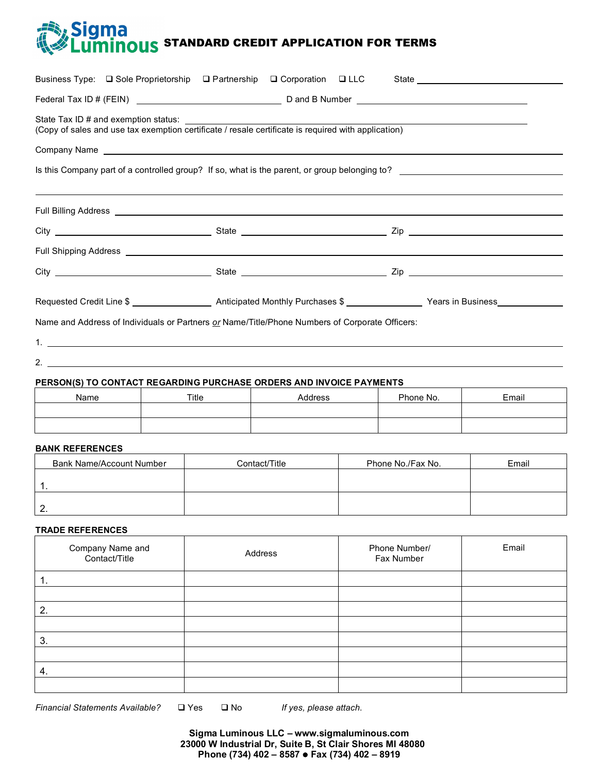## na **TOUS STANDARD CREDIT APPLICATION FOR TERMS**

|    |  |                                                                                                                                                                                                                                |  | Business Type: □ Sole Proprietorship □ Partnership □ Corporation □ LLC State ______________________                                                                                                                                  |  |
|----|--|--------------------------------------------------------------------------------------------------------------------------------------------------------------------------------------------------------------------------------|--|--------------------------------------------------------------------------------------------------------------------------------------------------------------------------------------------------------------------------------------|--|
|    |  |                                                                                                                                                                                                                                |  |                                                                                                                                                                                                                                      |  |
|    |  |                                                                                                                                                                                                                                |  |                                                                                                                                                                                                                                      |  |
|    |  | Company Name experience and the service of the service of the service of the service of the service of the service of the service of the service of the service of the service of the service of the service of the service of |  |                                                                                                                                                                                                                                      |  |
|    |  |                                                                                                                                                                                                                                |  |                                                                                                                                                                                                                                      |  |
|    |  |                                                                                                                                                                                                                                |  | Full Billing Address <b>Contract Contract Contract Contract Contract Contract Contract Contract Contract Contract Contract Contract Contract Contract Contract Contract Contract Contract Contract Contract Contract Contract Co</b> |  |
|    |  |                                                                                                                                                                                                                                |  |                                                                                                                                                                                                                                      |  |
|    |  |                                                                                                                                                                                                                                |  | Full Shipping Address <u>experimental control and the set of the set of the set of the set of the set of the set of the set of the set of the set of the set of the set of the set of the set of the set of the set of the set o</u> |  |
|    |  |                                                                                                                                                                                                                                |  |                                                                                                                                                                                                                                      |  |
|    |  |                                                                                                                                                                                                                                |  |                                                                                                                                                                                                                                      |  |
|    |  | Name and Address of Individuals or Partners or Name/Title/Phone Numbers of Corporate Officers:                                                                                                                                 |  |                                                                                                                                                                                                                                      |  |
| 1. |  |                                                                                                                                                                                                                                |  |                                                                                                                                                                                                                                      |  |

2.

## **PERSON(S) TO CONTACT REGARDING PURCHASE ORDERS AND INVOICE PAYMENTS**

| Name | Title | Address | Phone No. | Email |
|------|-------|---------|-----------|-------|
|      |       |         |           |       |
|      |       |         |           |       |

## **BANK REFERENCES**

| Bank Name/Account Number | Contact/Title | Phone No./Fax No. | Email |
|--------------------------|---------------|-------------------|-------|
|                          |               |                   |       |
|                          |               |                   |       |
| 2.                       |               |                   |       |

## **TRADE REFERENCES**

| Company Name and<br>Contact/Title | Address | Phone Number/<br>Fax Number | Email |
|-----------------------------------|---------|-----------------------------|-------|
| л.                                |         |                             |       |
|                                   |         |                             |       |
| 2.                                |         |                             |       |
|                                   |         |                             |       |
| 3.                                |         |                             |       |
|                                   |         |                             |       |
| 4.                                |         |                             |       |
|                                   |         |                             |       |

*Financial Statements Available?* Yes No *If yes, please attach*.

**Sigma Luminous LLC – www.sigmaluminous.com 23000 W Industrial Dr, Suite B, St Clair Shores MI 48080 Phone (734) 402 – 8587 Fax (734) 402 – 8919**